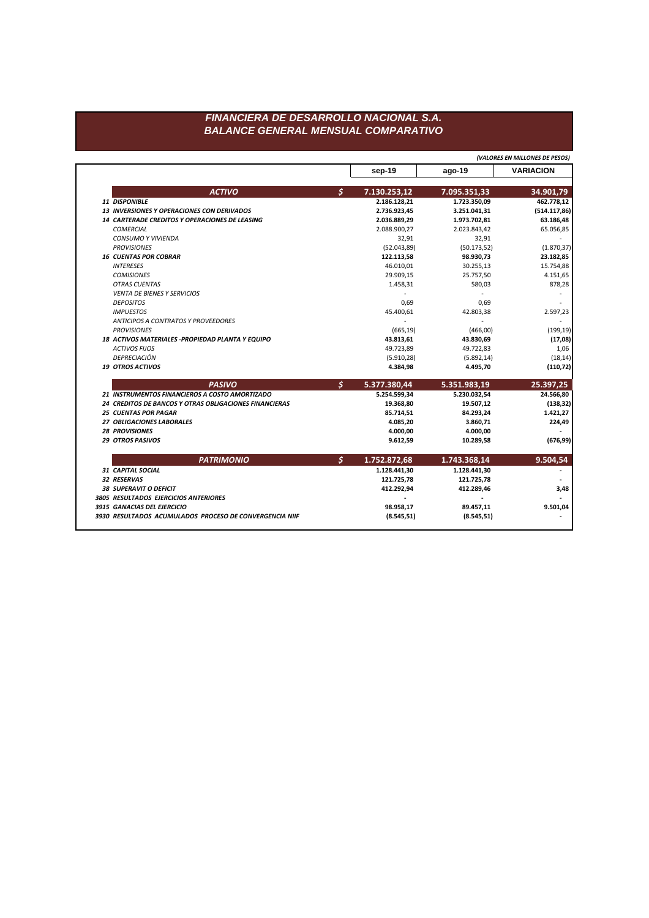## FINANCIERA DE DESARROLLO NACIONAL S.A. **BALANCE GENERAL MENSUAL COMPARATIVO**

(VALORES EN MILLONES DE PESOS)

| 7.130.253,12<br>2.186.128,21<br>2.736.923,45<br>2.036.889,29<br>2.088.900,27<br>32,91<br>(52.043, 89)<br>122.113,58<br>46.010,01<br>29.909,15<br>1.458,31 | 7.095.351,33<br>1.723.350,09<br>3.251.041,31<br>1.973.702,81<br>2.023.843,42<br>32,91<br>(50.173, 52)<br>98.930,73<br>30.255,13<br>25.757,50 | 34.901,79<br>462.778,12<br>(514.117,86)<br>15.754,88                   |
|-----------------------------------------------------------------------------------------------------------------------------------------------------------|----------------------------------------------------------------------------------------------------------------------------------------------|------------------------------------------------------------------------|
|                                                                                                                                                           |                                                                                                                                              |                                                                        |
|                                                                                                                                                           |                                                                                                                                              |                                                                        |
|                                                                                                                                                           |                                                                                                                                              | 63.186,48<br>65.056,85<br>23.182,85                                    |
|                                                                                                                                                           |                                                                                                                                              |                                                                        |
|                                                                                                                                                           |                                                                                                                                              | (1.870, 37)                                                            |
|                                                                                                                                                           |                                                                                                                                              |                                                                        |
|                                                                                                                                                           |                                                                                                                                              |                                                                        |
|                                                                                                                                                           |                                                                                                                                              |                                                                        |
|                                                                                                                                                           |                                                                                                                                              |                                                                        |
|                                                                                                                                                           |                                                                                                                                              | 4.151,65                                                               |
|                                                                                                                                                           | 580,03                                                                                                                                       | 878,28                                                                 |
|                                                                                                                                                           |                                                                                                                                              |                                                                        |
|                                                                                                                                                           |                                                                                                                                              |                                                                        |
|                                                                                                                                                           |                                                                                                                                              | 2.597,23                                                               |
|                                                                                                                                                           |                                                                                                                                              |                                                                        |
|                                                                                                                                                           |                                                                                                                                              | (199, 19)                                                              |
|                                                                                                                                                           |                                                                                                                                              | (17,08)                                                                |
|                                                                                                                                                           |                                                                                                                                              | 1,06                                                                   |
|                                                                                                                                                           |                                                                                                                                              | (18, 14)                                                               |
| 4.384,98                                                                                                                                                  | 4.495,70                                                                                                                                     | (110, 72)                                                              |
| 5.377.380,44                                                                                                                                              | 5.351.983,19                                                                                                                                 | 25.397,25                                                              |
| 5.254.599,34                                                                                                                                              | 5.230.032,54                                                                                                                                 | 24.566,80                                                              |
| 19.368,80                                                                                                                                                 | 19.507,12                                                                                                                                    | (138, 32)                                                              |
| 85.714,51                                                                                                                                                 | 84.293,24                                                                                                                                    | 1.421,27                                                               |
| 4.085,20                                                                                                                                                  | 3.860,71                                                                                                                                     | 224,49                                                                 |
| 4.000,00                                                                                                                                                  | 4.000,00                                                                                                                                     |                                                                        |
| 9.612,59                                                                                                                                                  | 10.289,58                                                                                                                                    | (676, 99)                                                              |
| 1.752.872,68                                                                                                                                              | 1.743.368,14                                                                                                                                 | 9.504,54                                                               |
| 1.128.441,30                                                                                                                                              | 1.128.441,30                                                                                                                                 |                                                                        |
| 121.725,78                                                                                                                                                | 121.725,78                                                                                                                                   |                                                                        |
| 412.292,94                                                                                                                                                | 412.289,46                                                                                                                                   | 3,48                                                                   |
|                                                                                                                                                           |                                                                                                                                              |                                                                        |
| 98.958,17                                                                                                                                                 | 89.457,11                                                                                                                                    | 9.501,04                                                               |
| (8.545, 51)                                                                                                                                               | (8.545, 51)                                                                                                                                  |                                                                        |
|                                                                                                                                                           | 0,69<br>45.400,61<br>(665, 19)<br>43.813,61<br>49.723,89<br>(5.910, 28)                                                                      | 0,69<br>42.803,38<br>(466,00)<br>43.830,69<br>49.722,83<br>(5.892, 14) |